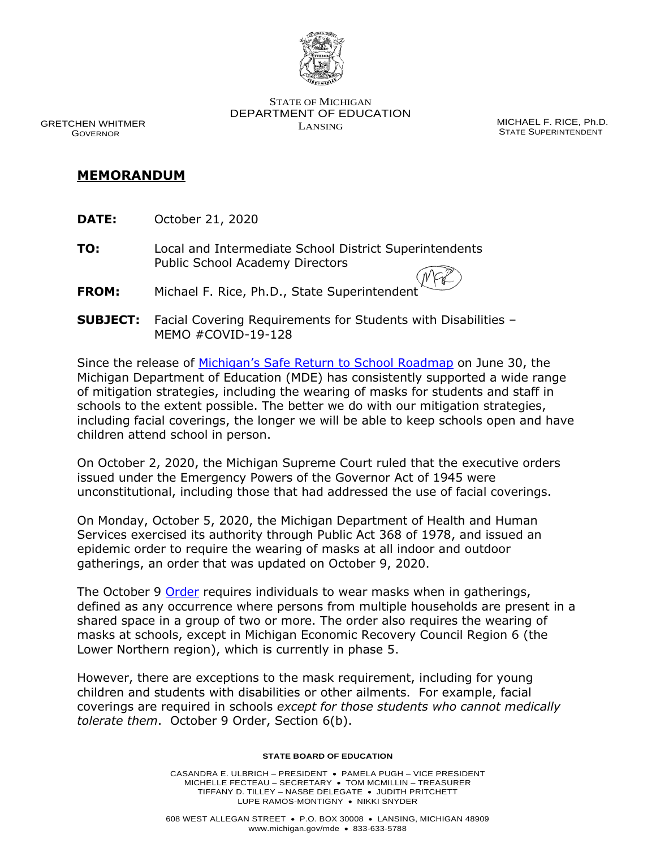

GRETCHEN WHITMER GOVERNOR

STATE OF MICHIGAN DEPARTMENT OF EDUCATION LANSING MICHAEL F. RICE, Ph.D.

STATE SUPERINTENDENT

## **MEMORANDUM**

- **DATE:** October 21, 2020
- **TO:** Local and Intermediate School District Superintendents Public School Academy Directors
- **FROM:** Michael F. Rice, Ph.D., State Superintendent
- **SUBJECT:** Facial Covering Requirements for Students with Disabilities MEMO #COVID-19-128

Since the release of [Michigan's Safe Return to School Roadm](https://www.michigan.gov/documents/whitmer/MI_Safe_Schools_Roadmap_FINAL_695392_7.pdf)ap on June 30, the Michigan Department of Education (MDE) has consistently supported a wide range of mitigation strategies, including the wearing of masks for students and staff in schools to the extent possible. The better we do with our mitigation strategies, including facial coverings, the longer we will be able to keep schools open and have children attend school in person.

On October 2, 2020, the Michigan Supreme Court ruled that the executive orders issued under the Emergency Powers of the Governor Act of 1945 were unconstitutional, including those that had addressed the use of facial coverings.

On Monday, October 5, 2020, the Michigan Department of Health and Human Services exercised its authority through Public Act 368 of 1978, and issued an epidemic order to require the wearing of masks at all indoor and outdoor gatherings, an order that was updated on October 9, 2020.

The October 9 [Order](https://www.michigan.gov/coronavirus/0,9753,7-406-98178_98455-541962--,00.html) requires individuals to wear masks when in gatherings, defined as any occurrence where persons from multiple households are present in a shared space in a group of two or more. The order also requires the wearing of masks at schools, except in Michigan Economic Recovery Council Region 6 (the Lower Northern region), which is currently in phase 5.

However, there are exceptions to the mask requirement, including for young children and students with disabilities or other ailments. For example, facial coverings are required in schools *except for those students who cannot medically tolerate them*. October 9 Order, Section 6(b).

## **STATE BOARD OF EDUCATION**

CASANDRA E. ULBRICH – PRESIDENT • PAMELA PUGH – VICE PRESIDENT MICHELLE FECTEAU – SECRETARY • TOM MCMILLIN – TREASURER TIFFANY D. TILLEY – NASBE DELEGATE • JUDITH PRITCHETT LUPE RAMOS-MONTIGNY • NIKKI SNYDER